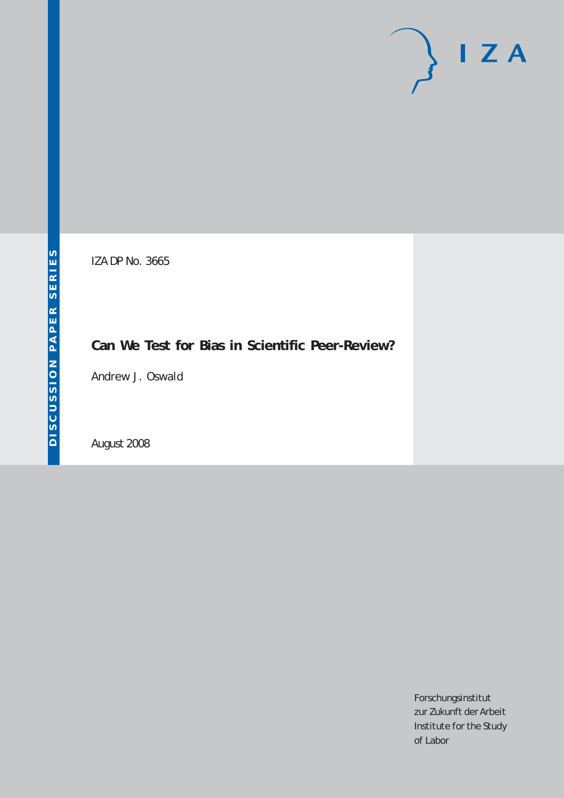# $I Z A$

IZA DP No. 3665

## **Can We Test for Bias in Scientific Peer-Review?**

Andrew J. Oswald

August 2008

Forschungsinstitut zur Zukunft der Arbeit Institute for the Study of Labor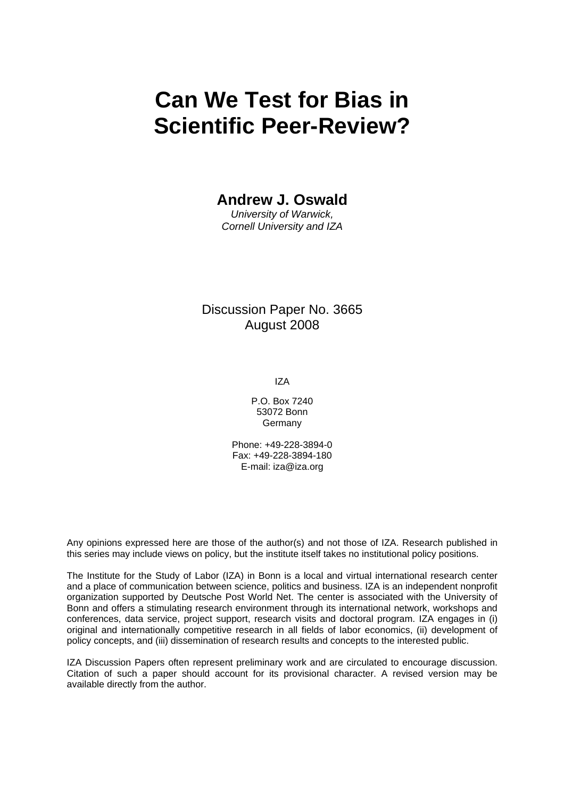## **Can We Test for Bias in Scientific Peer-Review?**

## **Andrew J. Oswald**

*University of Warwick, Cornell University and IZA* 

### Discussion Paper No. 3665 August 2008

IZA

P.O. Box 7240 53072 Bonn Germany

Phone: +49-228-3894-0 Fax: +49-228-3894-180 E-mail: [iza@iza.org](mailto:iza@iza.org)

Any opinions expressed here are those of the author(s) and not those of IZA. Research published in this series may include views on policy, but the institute itself takes no institutional policy positions.

The Institute for the Study of Labor (IZA) in Bonn is a local and virtual international research center and a place of communication between science, politics and business. IZA is an independent nonprofit organization supported by Deutsche Post World Net. The center is associated with the University of Bonn and offers a stimulating research environment through its international network, workshops and conferences, data service, project support, research visits and doctoral program. IZA engages in (i) original and internationally competitive research in all fields of labor economics, (ii) development of policy concepts, and (iii) dissemination of research results and concepts to the interested public.

IZA Discussion Papers often represent preliminary work and are circulated to encourage discussion. Citation of such a paper should account for its provisional character. A revised version may be available directly from the author.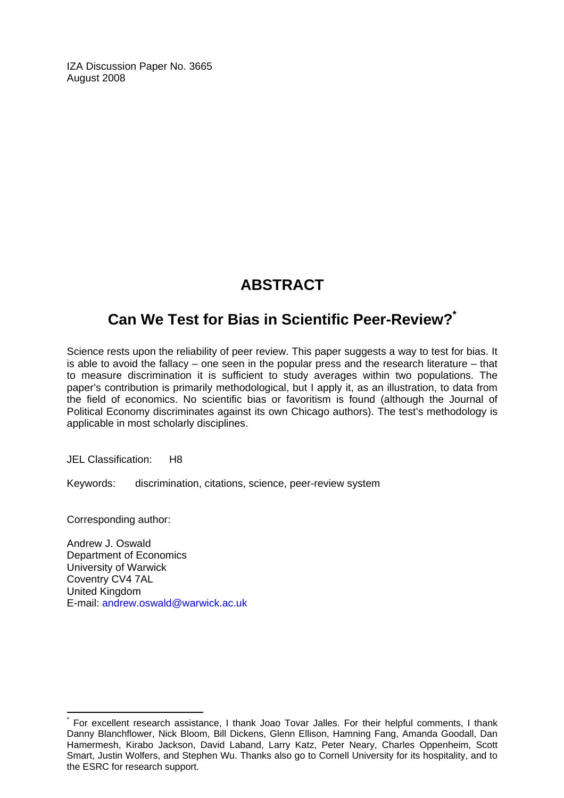IZA Discussion Paper No. 3665 August 2008

## **ABSTRACT**

## **Can We Test for Bias in Scientific Peer-Review?[\\*](#page-2-0)**

Science rests upon the reliability of peer review. This paper suggests a way to test for bias. It is able to avoid the fallacy – one seen in the popular press and the research literature – that to measure discrimination it is sufficient to study averages within two populations. The paper's contribution is primarily methodological, but I apply it, as an illustration, to data from the field of economics. No scientific bias or favoritism is found (although the Journal of Political Economy discriminates against its own Chicago authors). The test's methodology is applicable in most scholarly disciplines.

JEL Classification: H8

Keywords: discrimination, citations, science, peer-review system

Corresponding author:

 $\overline{a}$ 

Andrew J. Oswald Department of Economics University of Warwick Coventry CV4 7AL United Kingdom E-mail: [andrew.oswald@warwick.ac.uk](mailto:andrew.oswald@warwick.ac.uk) 

<span id="page-2-0"></span><sup>\*</sup> For excellent research assistance, I thank Joao Tovar Jalles. For their helpful comments, I thank Danny Blanchflower, Nick Bloom, Bill Dickens, Glenn Ellison, Hamning Fang, Amanda Goodall, Dan Hamermesh, Kirabo Jackson, David Laband, Larry Katz, Peter Neary, Charles Oppenheim, Scott Smart, Justin Wolfers, and Stephen Wu. Thanks also go to Cornell University for its hospitality, and to the ESRC for research support.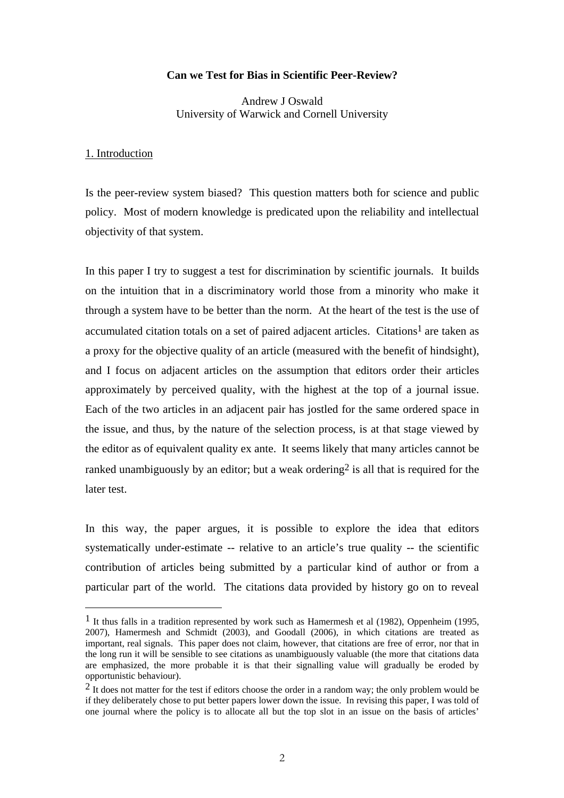#### **Can we Test for Bias in Scientific Peer-Review?**

Andrew J Oswald University of Warwick and Cornell University

#### 1. Introduction

 $\overline{a}$ 

Is the peer-review system biased? This question matters both for science and public policy. Most of modern knowledge is predicated upon the reliability and intellectual objectivity of that system.

In this paper I try to suggest a test for discrimination by scientific journals. It builds on the intuition that in a discriminatory world those from a minority who make it through a system have to be better than the norm. At the heart of the test is the use of accumulated citation totals on a set of paired adjacent articles. Citations<sup>[1](#page-3-0)</sup> are taken as a proxy for the objective quality of an article (measured with the benefit of hindsight), and I focus on adjacent articles on the assumption that editors order their articles approximately by perceived quality, with the highest at the top of a journal issue. Each of the two articles in an adjacent pair has jostled for the same ordered space in the issue, and thus, by the nature of the selection process, is at that stage viewed by the editor as of equivalent quality ex ante. It seems likely that many articles cannot be ranked unambiguously by an editor; but a weak ordering<sup>2</sup> is all that is required for the later test.

In this way, the paper argues, it is possible to explore the idea that editors systematically under-estimate -- relative to an article's true quality -- the scientific contribution of articles being submitted by a particular kind of author or from a particular part of the world. The citations data provided by history go on to reveal

<span id="page-3-0"></span><sup>1</sup> It thus falls in a tradition represented by work such as Hamermesh et al (1982), Oppenheim (1995, 2007), Hamermesh and Schmidt (2003), and Goodall (2006), in which citations are treated as important, real signals. This paper does not claim, however, that citations are free of error, nor that in the long run it will be sensible to see citations as unambiguously valuable (the more that citations data are emphasized, the more probable it is that their signalling value will gradually be eroded by opportunistic behaviour).

<span id="page-3-1"></span><sup>&</sup>lt;sup>2</sup> It does not matter for the test if editors choose the order in a random way; the only problem would be if they deliberately chose to put better papers lower down the issue. In revising this paper, I was told of one journal where the policy is to allocate all but the top slot in an issue on the basis of articles'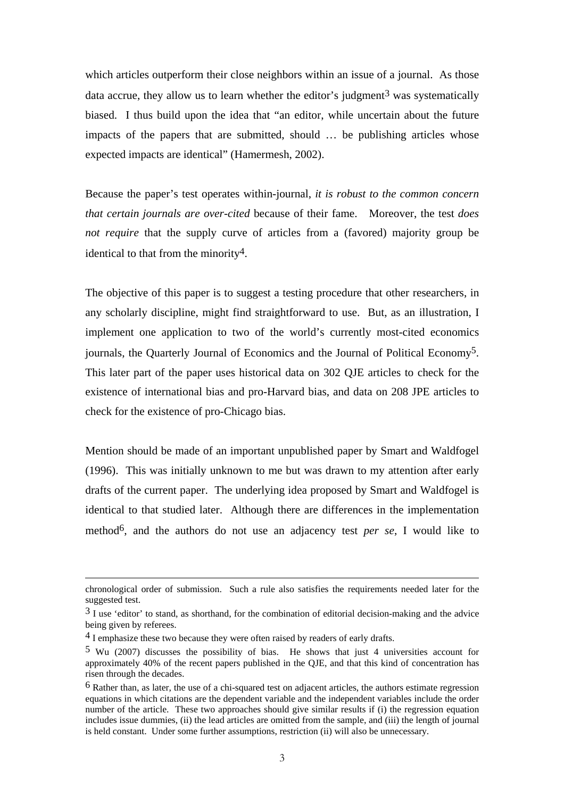which articles outperform their close neighbors within an issue of a journal. As those data accrue, they allow us to learn whether the editor's judgment<sup>3</sup> was systematically biased. I thus build upon the idea that "an editor, while uncertain about the future impacts of the papers that are submitted, should … be publishing articles whose expected impacts are identical" (Hamermesh, 2002).

Because the paper's test operates within-journal, *it is robust to the common concern that certain journals are over-cited* because of their fame. Moreover, the test *does not require* that the supply curve of articles from a (favored) majority group be identical to that from the minority<sup>4</sup>.

The objective of this paper is to suggest a testing procedure that other researchers, in any scholarly discipline, might find straightforward to use. But, as an illustration, I implement one application to two of the world's currently most-cited economics journals, the Quarterly Journal of Economics and the Journal of Political Economy[5.](#page-4-2) This later part of the paper uses historical data on 302 QJE articles to check for the existence of international bias and pro-Harvard bias, and data on 208 JPE articles to check for the existence of pro-Chicago bias.

Mention should be made of an important unpublished paper by Smart and Waldfogel (1996). This was initially unknown to me but was drawn to my attention after early drafts of the current paper. The underlying idea proposed by Smart and Waldfogel is identical to that studied later. Although there are differences in the implementation method[6,](#page-4-3) and the authors do not use an adjacency test *per se*, I would like to

chronological order of submission. Such a rule also satisfies the requirements needed later for the suggested test.

<span id="page-4-0"></span><sup>&</sup>lt;sup>3</sup> I use 'editor' to stand, as shorthand, for the combination of editorial decision-making and the advice being given by referees.

<span id="page-4-1"></span><sup>&</sup>lt;sup>4</sup> I emphasize these two because they were often raised by readers of early drafts.

<span id="page-4-2"></span><sup>5</sup> Wu (2007) discusses the possibility of bias. He shows that just 4 universities account for approximately 40% of the recent papers published in the QJE, and that this kind of concentration has risen through the decades.

<span id="page-4-3"></span><sup>6</sup> Rather than, as later, the use of a chi-squared test on adjacent articles, the authors estimate regression equations in which citations are the dependent variable and the independent variables include the order number of the article. These two approaches should give similar results if (i) the regression equation includes issue dummies, (ii) the lead articles are omitted from the sample, and (iii) the length of journal is held constant. Under some further assumptions, restriction (ii) will also be unnecessary.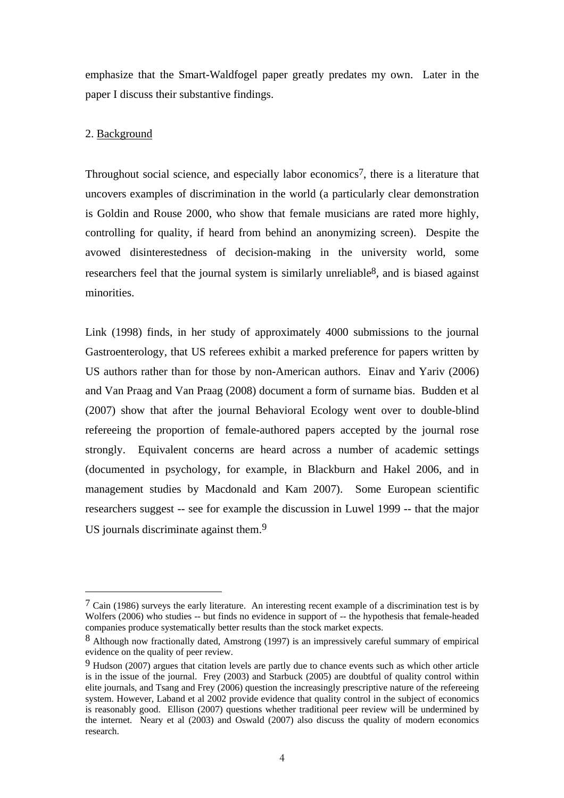emphasize that the Smart-Waldfogel paper greatly predates my own. Later in the paper I discuss their substantive findings.

#### 2. Background

 $\overline{a}$ 

Throughout social science, and especially labor economics<sup>7</sup>, there is a literature that uncovers examples of discrimination in the world (a particularly clear demonstration is Goldin and Rouse 2000, who show that female musicians are rated more highly, controlling for quality, if heard from behind an anonymizing screen). Despite the avowed disinterestedness of decision-making in the university world, some researchers feel that the journal system is similarly unreliable  $8$ , and is biased against minorities.

Link (1998) finds, in her study of approximately 4000 submissions to the journal Gastroenterology, that US referees exhibit a marked preference for papers written by US authors rather than for those by non-American authors. Einav and Yariv (2006) and Van Praag and Van Praag (2008) document a form of surname bias. Budden et al (2007) show that after the journal Behavioral Ecology went over to double-blind refereeing the proportion of female-authored papers accepted by the journal rose strongly. Equivalent concerns are heard across a number of academic settings (documented in psychology, for example, in Blackburn and Hakel 2006, and in management studies by Macdonald and Kam 2007). Some European scientific researchers suggest -- see for example the discussion in Luwel 1999 -- that the major US journals discriminate against them.<sup>9</sup>

<span id="page-5-0"></span> $7$  Cain (1986) surveys the early literature. An interesting recent example of a discrimination test is by Wolfers (2006) who studies -- but finds no evidence in support of -- the hypothesis that female-headed companies produce systematically better results than the stock market expects.

<span id="page-5-1"></span><sup>8</sup> Although now fractionally dated, Amstrong (1997) is an impressively careful summary of empirical evidence on the quality of peer review.

<span id="page-5-2"></span><sup>9</sup> Hudson (2007) argues that citation levels are partly due to chance events such as which other article is in the issue of the journal. Frey (2003) and Starbuck (2005) are doubtful of quality control within elite journals, and Tsang and Frey (2006) question the increasingly prescriptive nature of the refereeing system. However, Laband et al 2002 provide evidence that quality control in the subject of economics is reasonably good. Ellison (2007) questions whether traditional peer review will be undermined by the internet. Neary et al (2003) and Oswald (2007) also discuss the quality of modern economics research.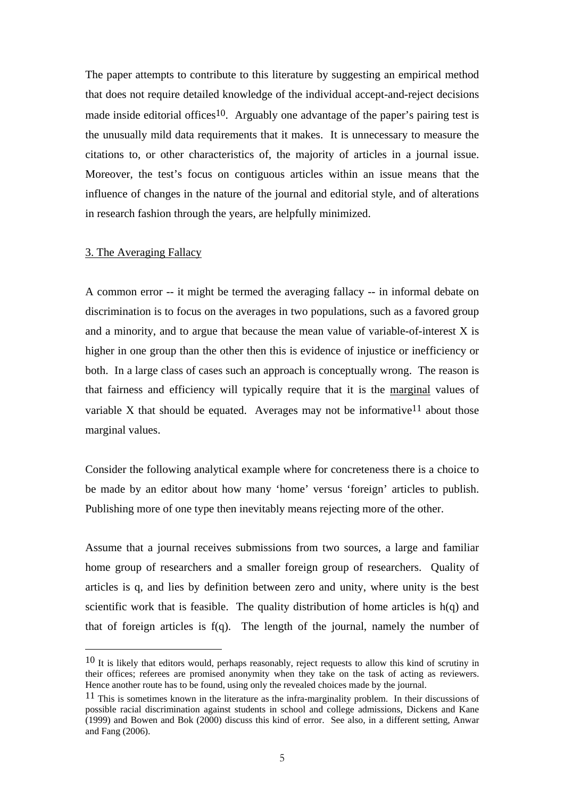The paper attempts to contribute to this literature by suggesting an empirical method that does not require detailed knowledge of the individual accept-and-reject decisions made inside editorial offices<sup>10</sup>. Arguably one advantage of the paper's pairing test is the unusually mild data requirements that it makes. It is unnecessary to measure the citations to, or other characteristics of, the majority of articles in a journal issue. Moreover, the test's focus on contiguous articles within an issue means that the influence of changes in the nature of the journal and editorial style, and of alterations in research fashion through the years, are helpfully minimized.

#### 3. The Averaging Fallacy

 $\overline{a}$ 

A common error -- it might be termed the averaging fallacy -- in informal debate on discrimination is to focus on the averages in two populations, such as a favored group and a minority, and to argue that because the mean value of variable-of-interest X is higher in one group than the other then this is evidence of injustice or inefficiency or both. In a large class of cases such an approach is conceptually wrong. The reason is that fairness and efficiency will typically require that it is the marginal values of variable X that should be equated. Averages may not be informative  $11$  about those marginal values.

Consider the following analytical example where for concreteness there is a choice to be made by an editor about how many 'home' versus 'foreign' articles to publish. Publishing more of one type then inevitably means rejecting more of the other.

Assume that a journal receives submissions from two sources, a large and familiar home group of researchers and a smaller foreign group of researchers. Quality of articles is q, and lies by definition between zero and unity, where unity is the best scientific work that is feasible. The quality distribution of home articles is  $h(q)$  and that of foreign articles is f(q). The length of the journal, namely the number of

<span id="page-6-0"></span> $10$  It is likely that editors would, perhaps reasonably, reject requests to allow this kind of scrutiny in their offices; referees are promised anonymity when they take on the task of acting as reviewers. Hence another route has to be found, using only the revealed choices made by the journal.

<span id="page-6-1"></span><sup>11</sup> This is sometimes known in the literature as the infra-marginality problem. In their discussions of possible racial discrimination against students in school and college admissions, Dickens and Kane (1999) and Bowen and Bok (2000) discuss this kind of error. See also, in a different setting, Anwar and Fang (2006).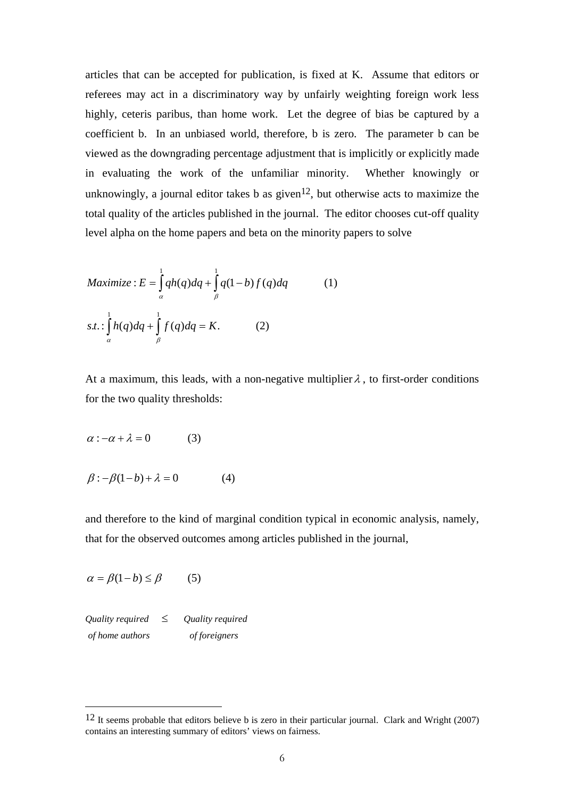articles that can be accepted for publication, is fixed at K. Assume that editors or referees may act in a discriminatory way by unfairly weighting foreign work less highly, ceteris paribus, than home work. Let the degree of bias be captured by a coefficient b. In an unbiased world, therefore, b is zero. The parameter b can be viewed as the downgrading percentage adjustment that is implicitly or explicitly made in evaluating the work of the unfamiliar minority. Whether knowingly or unknowingly, a journal editor takes b as given<sup>12</sup>, but otherwise acts to maximize the total quality of the articles published in the journal. The editor chooses cut-off quality level alpha on the home papers and beta on the minority papers to solve

$$
Maximize: E = \int_{\alpha}^{1} qh(q) dq + \int_{\beta}^{1} q(1-b) f(q) dq
$$
 (1)  
s.t.: 
$$
\int_{\alpha}^{1} h(q) dq + \int_{\beta}^{1} f(q) dq = K.
$$
 (2)

At a maximum, this leads, with a non-negative multiplier  $\lambda$ , to first-order conditions for the two quality thresholds:

$$
\alpha : -\alpha + \lambda = 0 \tag{3}
$$

 $\beta$ :  $-\beta(1-b) + \lambda = 0$  (4)

and therefore to the kind of marginal condition typical in economic analysis, namely, that for the observed outcomes among articles published in the journal,

$$
\alpha = \beta(1 - b) \le \beta \tag{5}
$$

*Quality required* ≤ *Quality required of home authors of foreigners* 

<span id="page-7-0"></span> <sup>12</sup> It seems probable that editors believe b is zero in their particular journal. Clark and Wright (2007) contains an interesting summary of editors' views on fairness.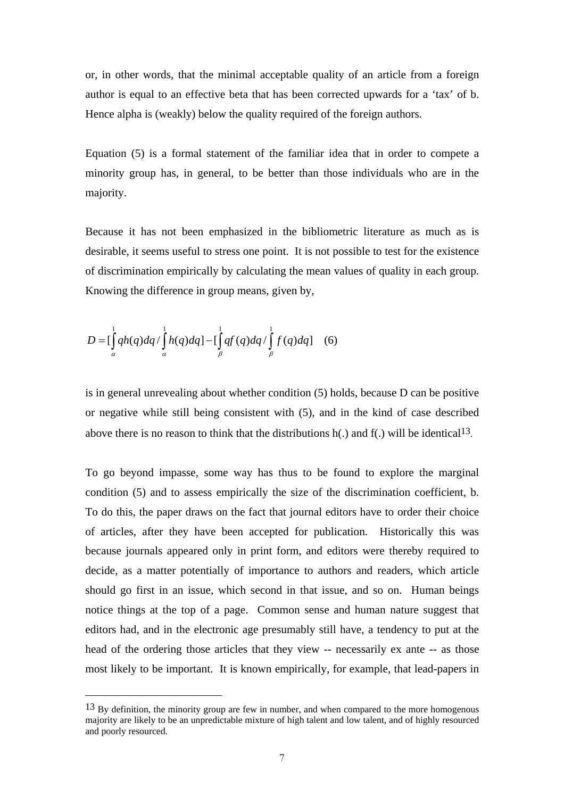or, in other words, that the minimal acceptable quality of an article from a foreign author is equal to an effective beta that has been corrected upwards for a 'tax' of b. Hence alpha is (weakly) below the quality required of the foreign authors.

Equation (5) is a formal statement of the familiar idea that in order to compete a minority group has, in general, to be better than those individuals who are in the majority.

Because it has not been emphasized in the bibliometric literature as much as is desirable, it seems useful to stress one point. It is not possible to test for the existence of discrimination empirically by calculating the mean values of quality in each group. Knowing the difference in group means, given by,

$$
D = \left[\int_{\alpha}^{1} qh(q) dq / \int_{\alpha}^{1} h(q) dq\right] - \left[\int_{\beta}^{1} qf(q) dq / \int_{\beta}^{1} f(q) dq\right] \quad (6)
$$

is in general unrevealing about whether condition (5) holds, because D can be positive or negative while still being consistent with (5), and in the kind of case described above there is no reason to think that the distributions  $h(.)$  and  $f(.)$  will be identical<sup>13</sup>.

To go beyond impasse, some way has thus to be found to explore the marginal condition (5) and to assess empirically the size of the discrimination coefficient, b. To do this, the paper draws on the fact that journal editors have to order their choice of articles, after they have been accepted for publication. Historically this was because journals appeared only in print form, and editors were thereby required to decide, as a matter potentially of importance to authors and readers, which article should go first in an issue, which second in that issue, and so on. Human beings notice things at the top of a page. Common sense and human nature suggest that editors had, and in the electronic age presumably still have, a tendency to put at the head of the ordering those articles that they view -- necessarily ex ante -- as those most likely to be important. It is known empirically, for example, that lead-papers in

<span id="page-8-0"></span> $13$  By definition, the minority group are few in number, and when compared to the more homogenous majority are likely to be an unpredictable mixture of high talent and low talent, and of highly resourced and poorly resourced.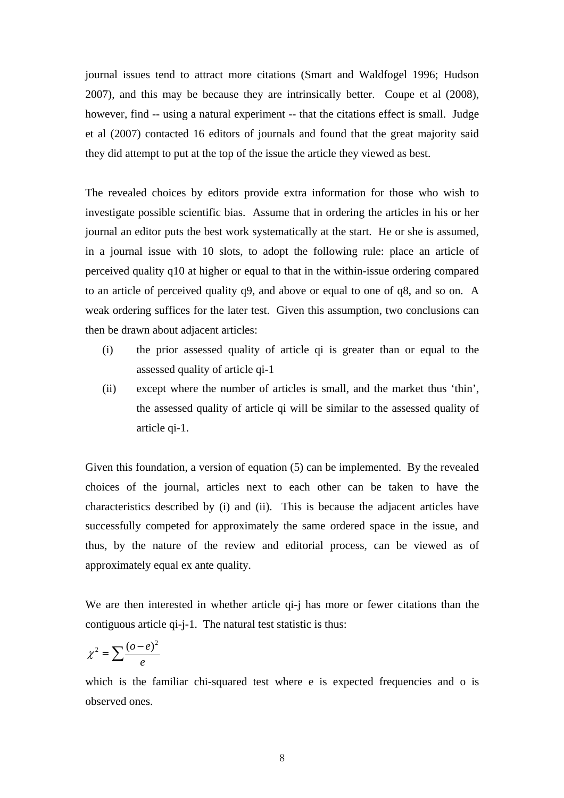journal issues tend to attract more citations (Smart and Waldfogel 1996; Hudson 2007), and this may be because they are intrinsically better. Coupe et al (2008), however, find -- using a natural experiment -- that the citations effect is small. Judge et al (2007) contacted 16 editors of journals and found that the great majority said they did attempt to put at the top of the issue the article they viewed as best.

The revealed choices by editors provide extra information for those who wish to investigate possible scientific bias. Assume that in ordering the articles in his or her journal an editor puts the best work systematically at the start. He or she is assumed, in a journal issue with 10 slots, to adopt the following rule: place an article of perceived quality q10 at higher or equal to that in the within-issue ordering compared to an article of perceived quality q9, and above or equal to one of q8, and so on. A weak ordering suffices for the later test. Given this assumption, two conclusions can then be drawn about adjacent articles:

- (i) the prior assessed quality of article qi is greater than or equal to the assessed quality of article qi-1
- (ii) except where the number of articles is small, and the market thus 'thin', the assessed quality of article qi will be similar to the assessed quality of article qi-1.

Given this foundation, a version of equation (5) can be implemented. By the revealed choices of the journal, articles next to each other can be taken to have the characteristics described by (i) and (ii). This is because the adjacent articles have successfully competed for approximately the same ordered space in the issue, and thus, by the nature of the review and editorial process, can be viewed as of approximately equal ex ante quality.

We are then interested in whether article qi-j has more or fewer citations than the contiguous article qi-j-1. The natural test statistic is thus:

$$
\chi^2 = \sum \frac{(o-e)^2}{e}
$$

which is the familiar chi-squared test where e is expected frequencies and o is observed ones.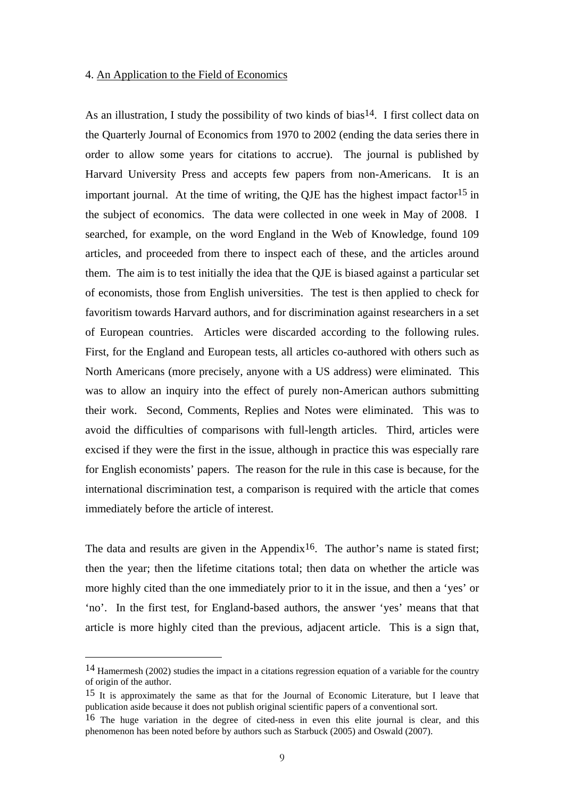#### 4. An Application to the Field of Economics

As an illustration, I study the possibility of two kinds of bias<sup>14</sup>. I first collect data on the Quarterly Journal of Economics from 1970 to 2002 (ending the data series there in order to allow some years for citations to accrue). The journal is published by Harvard University Press and accepts few papers from non-Americans. It is an important journal. At the time of writing, the QJE has the highest impact factor<sup>[15](#page-10-1)</sup> in the subject of economics. The data were collected in one week in May of 2008. I searched, for example, on the word England in the Web of Knowledge, found 109 articles, and proceeded from there to inspect each of these, and the articles around them. The aim is to test initially the idea that the QJE is biased against a particular set of economists, those from English universities. The test is then applied to check for favoritism towards Harvard authors, and for discrimination against researchers in a set of European countries. Articles were discarded according to the following rules. First, for the England and European tests, all articles co-authored with others such as North Americans (more precisely, anyone with a US address) were eliminated. This was to allow an inquiry into the effect of purely non-American authors submitting their work. Second, Comments, Replies and Notes were eliminated. This was to avoid the difficulties of comparisons with full-length articles. Third, articles were excised if they were the first in the issue, although in practice this was especially rare for English economists' papers. The reason for the rule in this case is because, for the international discrimination test, a comparison is required with the article that comes immediately before the article of interest.

The data and results are given in the Appendix<sup>16</sup>. The author's name is stated first; then the year; then the lifetime citations total; then data on whether the article was more highly cited than the one immediately prior to it in the issue, and then a 'yes' or 'no'. In the first test, for England-based authors, the answer 'yes' means that that article is more highly cited than the previous, adjacent article. This is a sign that,

<span id="page-10-0"></span> <sup>14</sup> Hamermesh (2002) studies the impact in a citations regression equation of a variable for the country of origin of the author.

<span id="page-10-1"></span><sup>15</sup> It is approximately the same as that for the Journal of Economic Literature, but I leave that publication aside because it does not publish original scientific papers of a conventional sort.

<span id="page-10-2"></span><sup>16</sup> The huge variation in the degree of cited-ness in even this elite journal is clear, and this phenomenon has been noted before by authors such as Starbuck (2005) and Oswald (2007).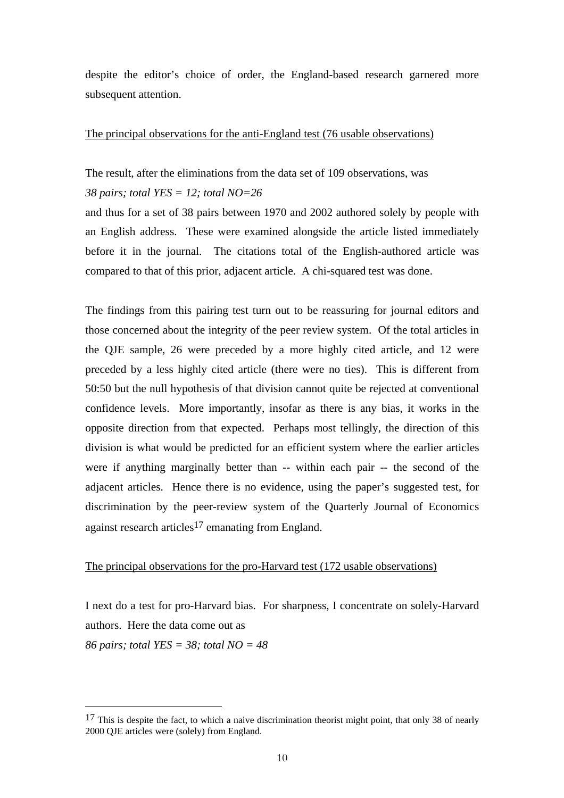despite the editor's choice of order, the England-based research garnered more subsequent attention.

#### The principal observations for the anti-England test (76 usable observations)

The result, after the eliminations from the data set of 109 observations, was

#### *38 pairs; total YES = 12; total NO=26*

and thus for a set of 38 pairs between 1970 and 2002 authored solely by people with an English address. These were examined alongside the article listed immediately before it in the journal. The citations total of the English-authored article was compared to that of this prior, adjacent article. A chi-squared test was done.

The findings from this pairing test turn out to be reassuring for journal editors and those concerned about the integrity of the peer review system. Of the total articles in the QJE sample, 26 were preceded by a more highly cited article, and 12 were preceded by a less highly cited article (there were no ties). This is different from 50:50 but the null hypothesis of that division cannot quite be rejected at conventional confidence levels. More importantly, insofar as there is any bias, it works in the opposite direction from that expected. Perhaps most tellingly, the direction of this division is what would be predicted for an efficient system where the earlier articles were if anything marginally better than -- within each pair -- the second of the adjacent articles. Hence there is no evidence, using the paper's suggested test, for discrimination by the peer-review system of the Quarterly Journal of Economics against research articles<sup>17</sup> emanating from England.

#### The principal observations for the pro-Harvard test (172 usable observations)

I next do a test for pro-Harvard bias. For sharpness, I concentrate on solely-Harvard authors. Here the data come out as *86 pairs; total YES = 38; total NO = 48* 

<span id="page-11-0"></span> $17$  This is despite the fact, to which a naive discrimination theorist might point, that only 38 of nearly 2000 QJE articles were (solely) from England.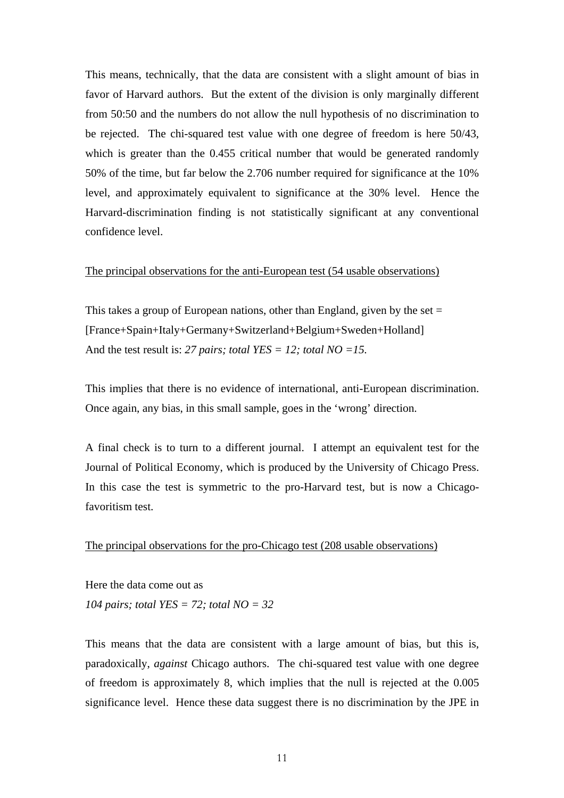This means, technically, that the data are consistent with a slight amount of bias in favor of Harvard authors. But the extent of the division is only marginally different from 50:50 and the numbers do not allow the null hypothesis of no discrimination to be rejected. The chi-squared test value with one degree of freedom is here 50/43, which is greater than the 0.455 critical number that would be generated randomly 50% of the time, but far below the 2.706 number required for significance at the 10% level, and approximately equivalent to significance at the 30% level. Hence the Harvard-discrimination finding is not statistically significant at any conventional confidence level.

#### The principal observations for the anti-European test (54 usable observations)

This takes a group of European nations, other than England, given by the set  $=$ [France+Spain+Italy+Germany+Switzerland+Belgium+Sweden+Holland] And the test result is: *27 pairs; total YES = 12; total NO =15.*

This implies that there is no evidence of international, anti-European discrimination. Once again, any bias, in this small sample, goes in the 'wrong' direction.

A final check is to turn to a different journal. I attempt an equivalent test for the Journal of Political Economy, which is produced by the University of Chicago Press. In this case the test is symmetric to the pro-Harvard test, but is now a Chicagofavoritism test.

#### The principal observations for the pro-Chicago test (208 usable observations)

Here the data come out as *104 pairs; total YES = 72; total NO = 32* 

This means that the data are consistent with a large amount of bias, but this is, paradoxically, *against* Chicago authors. The chi-squared test value with one degree of freedom is approximately 8, which implies that the null is rejected at the 0.005 significance level. Hence these data suggest there is no discrimination by the JPE in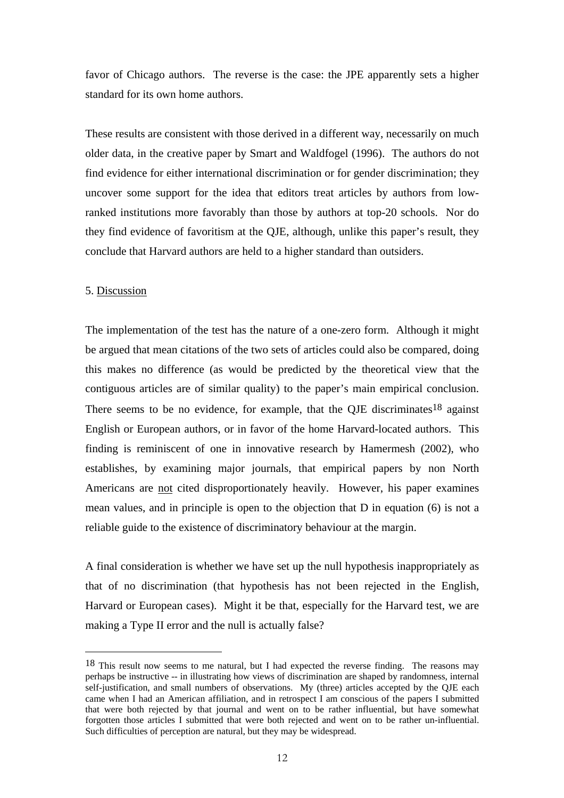favor of Chicago authors. The reverse is the case: the JPE apparently sets a higher standard for its own home authors.

These results are consistent with those derived in a different way, necessarily on much older data, in the creative paper by Smart and Waldfogel (1996). The authors do not find evidence for either international discrimination or for gender discrimination; they uncover some support for the idea that editors treat articles by authors from lowranked institutions more favorably than those by authors at top-20 schools. Nor do they find evidence of favoritism at the QJE, although, unlike this paper's result, they conclude that Harvard authors are held to a higher standard than outsiders.

#### 5. Discussion

The implementation of the test has the nature of a one-zero form. Although it might be argued that mean citations of the two sets of articles could also be compared, doing this makes no difference (as would be predicted by the theoretical view that the contiguous articles are of similar quality) to the paper's main empirical conclusion. There seems to be no evidence, for example, that the QJE discriminates<sup>18</sup> against English or European authors, or in favor of the home Harvard-located authors. This finding is reminiscent of one in innovative research by Hamermesh (2002), who establishes, by examining major journals, that empirical papers by non North Americans are not cited disproportionately heavily. However, his paper examines mean values, and in principle is open to the objection that D in equation (6) is not a reliable guide to the existence of discriminatory behaviour at the margin.

A final consideration is whether we have set up the null hypothesis inappropriately as that of no discrimination (that hypothesis has not been rejected in the English, Harvard or European cases). Might it be that, especially for the Harvard test, we are making a Type II error and the null is actually false?

<span id="page-13-0"></span><sup>18</sup> This result now seems to me natural, but I had expected the reverse finding. The reasons may perhaps be instructive -- in illustrating how views of discrimination are shaped by randomness, internal self-justification, and small numbers of observations. My (three) articles accepted by the QJE each came when I had an American affiliation, and in retrospect I am conscious of the papers I submitted that were both rejected by that journal and went on to be rather influential, but have somewhat forgotten those articles I submitted that were both rejected and went on to be rather un-influential. Such difficulties of perception are natural, but they may be widespread.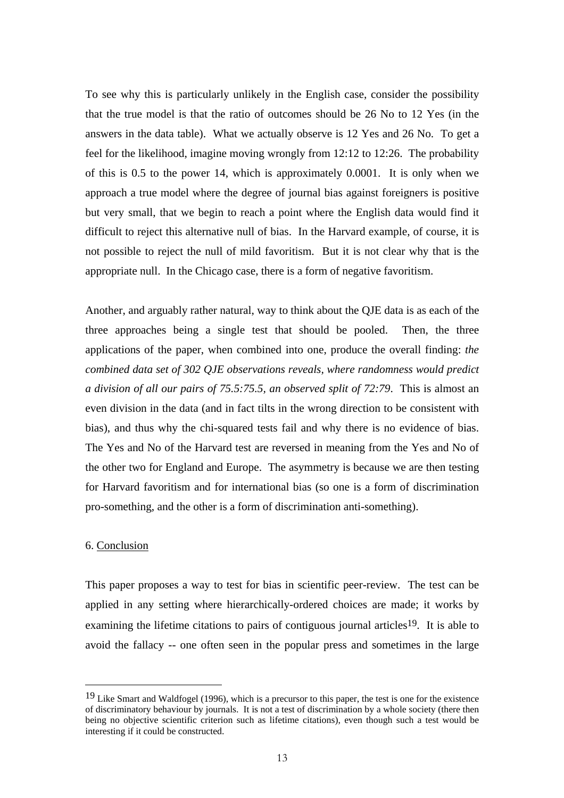To see why this is particularly unlikely in the English case, consider the possibility that the true model is that the ratio of outcomes should be 26 No to 12 Yes (in the answers in the data table). What we actually observe is 12 Yes and 26 No. To get a feel for the likelihood, imagine moving wrongly from 12:12 to 12:26. The probability of this is 0.5 to the power 14, which is approximately 0.0001. It is only when we approach a true model where the degree of journal bias against foreigners is positive but very small, that we begin to reach a point where the English data would find it difficult to reject this alternative null of bias. In the Harvard example, of course, it is not possible to reject the null of mild favoritism. But it is not clear why that is the appropriate null. In the Chicago case, there is a form of negative favoritism.

Another, and arguably rather natural, way to think about the QJE data is as each of the three approaches being a single test that should be pooled. Then, the three applications of the paper, when combined into one, produce the overall finding: *the combined data set of 302 QJE observations reveals, where randomness would predict a division of all our pairs of 75.5:75.5, an observed split of 72:79*. This is almost an even division in the data (and in fact tilts in the wrong direction to be consistent with bias), and thus why the chi-squared tests fail and why there is no evidence of bias. The Yes and No of the Harvard test are reversed in meaning from the Yes and No of the other two for England and Europe. The asymmetry is because we are then testing for Harvard favoritism and for international bias (so one is a form of discrimination pro-something, and the other is a form of discrimination anti-something).

#### 6. Conclusion

This paper proposes a way to test for bias in scientific peer-review. The test can be applied in any setting where hierarchically-ordered choices are made; it works by examining the lifetime citations to pairs of contiguous journal articles<sup>19</sup>. It is able to avoid the fallacy -- one often seen in the popular press and sometimes in the large

<span id="page-14-0"></span><sup>&</sup>lt;sup>19</sup> Like Smart and Waldfogel (1996), which is a precursor to this paper, the test is one for the existence of discriminatory behaviour by journals. It is not a test of discrimination by a whole society (there then being no objective scientific criterion such as lifetime citations), even though such a test would be interesting if it could be constructed.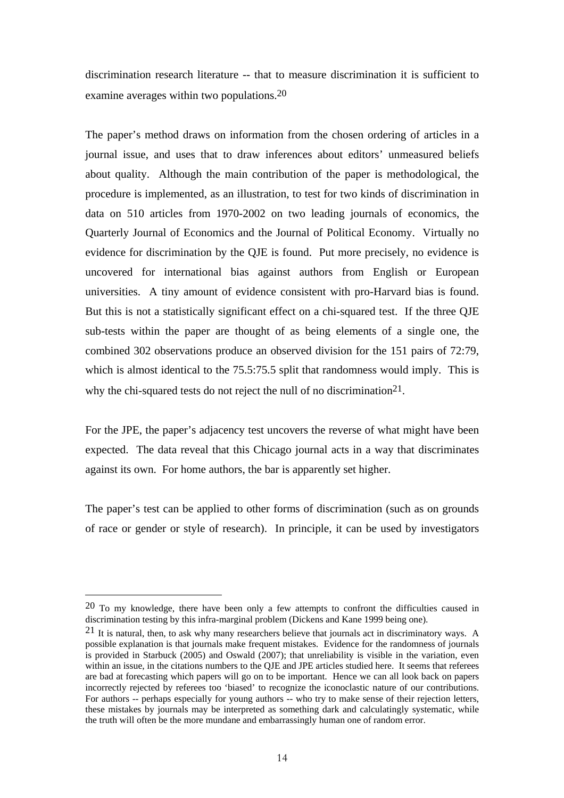discrimination research literature -- that to measure discrimination it is sufficient to examine averages within two populations.[20](#page-15-0) 

The paper's method draws on information from the chosen ordering of articles in a journal issue, and uses that to draw inferences about editors' unmeasured beliefs about quality. Although the main contribution of the paper is methodological, the procedure is implemented, as an illustration, to test for two kinds of discrimination in data on 510 articles from 1970-2002 on two leading journals of economics, the Quarterly Journal of Economics and the Journal of Political Economy. Virtually no evidence for discrimination by the QJE is found. Put more precisely, no evidence is uncovered for international bias against authors from English or European universities. A tiny amount of evidence consistent with pro-Harvard bias is found. But this is not a statistically significant effect on a chi-squared test. If the three QJE sub-tests within the paper are thought of as being elements of a single one, the combined 302 observations produce an observed division for the 151 pairs of 72:79, which is almost identical to the 75.5:75.5 split that randomness would imply. This is why the chi-squared tests do not reject the null of no discrimination<sup>21</sup>.

For the JPE, the paper's adjacency test uncovers the reverse of what might have been expected. The data reveal that this Chicago journal acts in a way that discriminates against its own. For home authors, the bar is apparently set higher.

The paper's test can be applied to other forms of discrimination (such as on grounds of race or gender or style of research). In principle, it can be used by investigators

<span id="page-15-0"></span> $20$  To my knowledge, there have been only a few attempts to confront the difficulties caused in discrimination testing by this infra-marginal problem (Dickens and Kane 1999 being one).

<span id="page-15-1"></span><sup>21</sup> It is natural, then, to ask why many researchers believe that journals act in discriminatory ways. A possible explanation is that journals make frequent mistakes. Evidence for the randomness of journals is provided in Starbuck (2005) and Oswald (2007); that unreliability is visible in the variation, even within an issue, in the citations numbers to the QJE and JPE articles studied here. It seems that referees are bad at forecasting which papers will go on to be important. Hence we can all look back on papers incorrectly rejected by referees too 'biased' to recognize the iconoclastic nature of our contributions. For authors -- perhaps especially for young authors -- who try to make sense of their rejection letters, these mistakes by journals may be interpreted as something dark and calculatingly systematic, while the truth will often be the more mundane and embarrassingly human one of random error.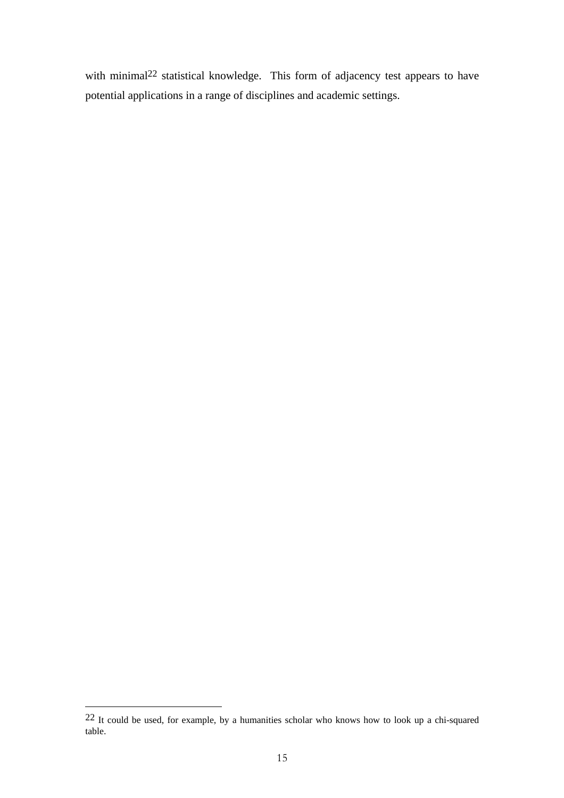with minimal<sup>22</sup> statistical knowledge. This form of adjacency test appears to have potential applications in a range of disciplines and academic settings.

<span id="page-16-0"></span> <sup>22</sup> It could be used, for example, by a humanities scholar who knows how to look up a chi-squared table.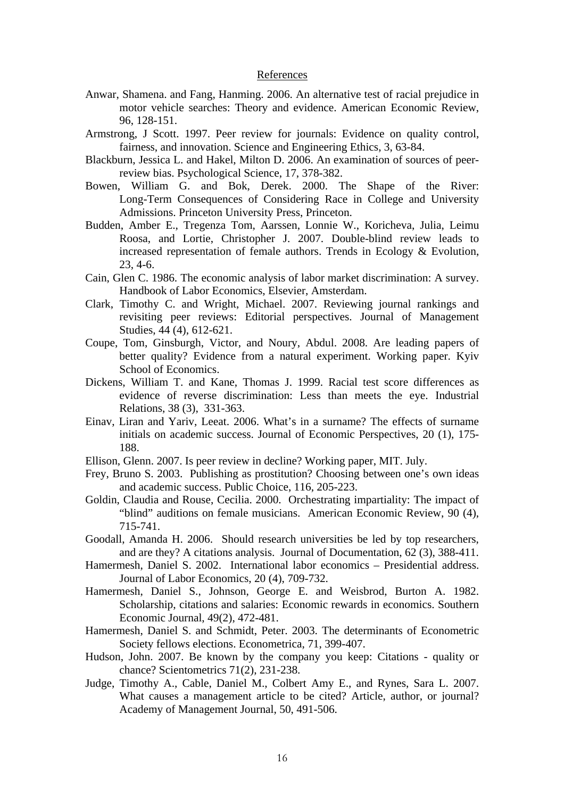#### References

- Anwar, Shamena. and Fang, Hanming. 2006. An alternative test of racial prejudice in motor vehicle searches: Theory and evidence. American Economic Review, 96, 128-151.
- Armstrong, J Scott. 1997. Peer review for journals: Evidence on quality control, fairness, and innovation. Science and Engineering Ethics, 3, 63-84.
- Blackburn, Jessica L. and Hakel, Milton D. 2006. An examination of sources of peerreview bias. Psychological Science, 17, 378-382.
- Bowen, William G. and Bok, Derek. 2000. The Shape of the River: Long-Term Consequences of Considering Race in College and University Admissions. Princeton University Press, Princeton.
- Budden, Amber E., Tregenza Tom, Aarssen, Lonnie W., Koricheva, Julia, Leimu Roosa, and Lortie, Christopher J. 2007. Double-blind review leads to increased representation of female authors. Trends in Ecology & Evolution, 23, 4-6.
- Cain, Glen C. 1986. The economic analysis of labor market discrimination: A survey. Handbook of Labor Economics, Elsevier, Amsterdam.
- Clark, Timothy C. and Wright, Michael. 2007. Reviewing journal rankings and revisiting peer reviews: Editorial perspectives. Journal of Management Studies, 44 (4), 612-621.
- Coupe, Tom, Ginsburgh, Victor, and Noury, Abdul. 2008. Are leading papers of better quality? Evidence from a natural experiment. Working paper. Kyiv School of Economics.
- Dickens, William T. and Kane, Thomas J. 1999. Racial test score differences as evidence of reverse discrimination: Less than meets the eye. Industrial Relations, 38 (3), 331-363.
- Einav, Liran and Yariv, Leeat. 2006. What's in a surname? The effects of surname initials on academic success. Journal of Economic Perspectives, 20 (1), 175- 188.
- Ellison, Glenn. 2007. Is peer review in decline? Working paper, MIT. July.
- Frey, Bruno S. 2003. Publishing as prostitution? Choosing between one's own ideas and academic success. Public Choice, 116, 205-223.
- Goldin, Claudia and Rouse, Cecilia. 2000. Orchestrating impartiality: The impact of "blind" auditions on female musicians. American Economic Review, 90 (4), 715-741.
- Goodall, Amanda H. 2006. Should research universities be led by top researchers, and are they? A citations analysis. Journal of Documentation, 62 (3), 388-411.
- Hamermesh, Daniel S. 2002. International labor economics Presidential address. Journal of Labor Economics, 20 (4), 709-732.
- Hamermesh, Daniel S., Johnson, George E. and Weisbrod, Burton A. 1982. Scholarship, citations and salaries: Economic rewards in economics. Southern Economic Journal, 49(2), 472-481.
- Hamermesh, Daniel S. and Schmidt, Peter. 2003. The determinants of Econometric Society fellows elections. Econometrica, 71, 399-407.
- Hudson, John. 2007. Be known by the company you keep: Citations quality or chance? Scientometrics 71(2), 231-238.
- Judge, Timothy A., Cable, Daniel M., Colbert Amy E., and Rynes, Sara L. 2007. What causes a management article to be cited? Article, author, or journal? Academy of Management Journal, 50, 491-506.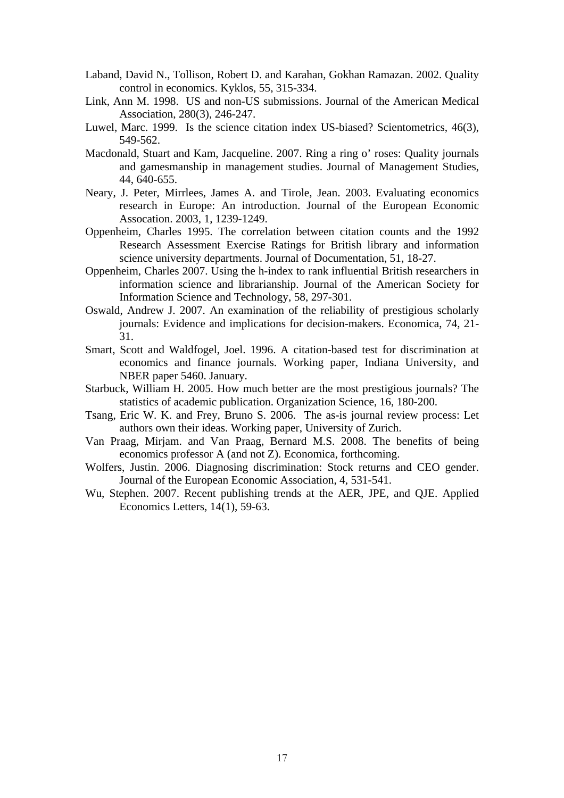- Laband, David N., Tollison, Robert D. and Karahan, Gokhan Ramazan. 2002. Quality control in economics. Kyklos, 55, 315-334.
- Link, Ann M. 1998. US and non-US submissions. Journal of the American Medical Association, 280(3), 246-247.
- Luwel, Marc. 1999. Is the science citation index US-biased? Scientometrics, 46(3), 549-562.
- Macdonald, Stuart and Kam, Jacqueline. 2007. Ring a ring o' roses: Quality journals and gamesmanship in management studies. Journal of Management Studies, 44, 640-655.
- Neary, J. Peter, Mirrlees, James A. and Tirole, Jean. 2003. Evaluating economics research in Europe: An introduction. Journal of the European Economic Assocation. 2003, 1, 1239-1249.
- Oppenheim, Charles 1995. The correlation between citation counts and the 1992 Research Assessment Exercise Ratings for British library and information science university departments. Journal of Documentation, 51, 18-27.
- Oppenheim, Charles 2007. Using the h-index to rank influential British researchers in information science and librarianship. Journal of the American Society for Information Science and Technology, 58, 297-301.
- Oswald, Andrew J. 2007. An examination of the reliability of prestigious scholarly journals: Evidence and implications for decision-makers. Economica, 74, 21- 31.
- Smart, Scott and Waldfogel, Joel. 1996. A citation-based test for discrimination at economics and finance journals. Working paper, Indiana University, and NBER paper 5460. January.
- Starbuck, William H. 2005. How much better are the most prestigious journals? The statistics of academic publication. Organization Science, 16, 180-200.
- Tsang, Eric W. K. and Frey, Bruno S. 2006. The as-is journal review process: Let authors own their ideas. Working paper, University of Zurich.
- Van Praag, Mirjam. and Van Praag, Bernard M.S. 2008. The benefits of being economics professor A (and not Z). Economica, forthcoming.
- Wolfers, Justin. 2006. Diagnosing discrimination: Stock returns and CEO gender. Journal of the European Economic Association, 4, 531-541.
- Wu, Stephen. 2007. Recent publishing trends at the AER, JPE, and QJE. Applied Economics Letters, 14(1), 59-63.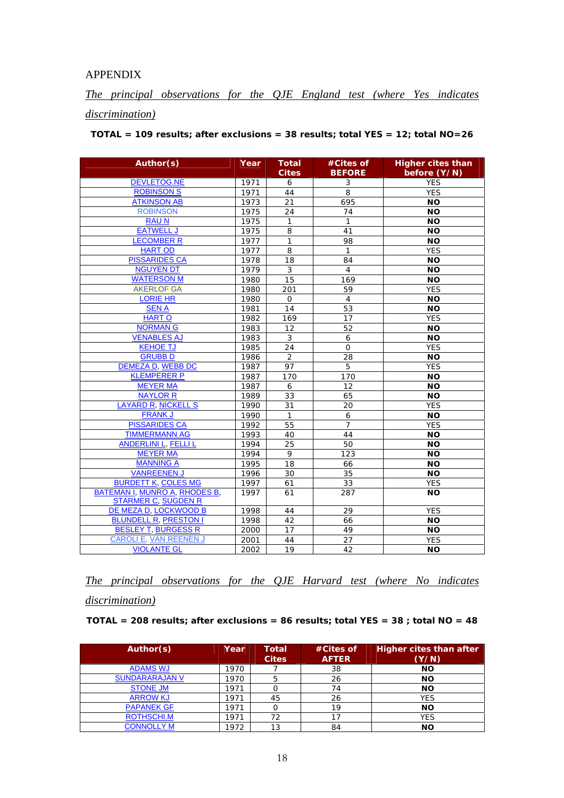#### APPENDIX

*The principal observations for the QJE England test (where Yes indicates discrimination)*

*TOTAL = 109 results; after exclusions = 38 results; total YES = 12; total NO=26* 

| Author(s)                                                          | Year | <b>Total</b><br><b>Cites</b> | #Cites of<br><b>BEFORE</b> | <b>Higher cites than</b><br>before (Y/N) |
|--------------------------------------------------------------------|------|------------------------------|----------------------------|------------------------------------------|
| <b>DEVLETOG.NE</b>                                                 | 1971 | 6                            | 3                          | <b>YES</b>                               |
| <b>ROBINSON S</b>                                                  | 1971 | 44                           | 8                          | <b>YES</b>                               |
| <b>ATKINSON AB</b>                                                 | 1973 | 21                           | 695                        | <b>NO</b>                                |
| <b>ROBINSON</b>                                                    | 1975 | 24                           | 74                         | <b>NO</b>                                |
| <b>RAUN</b>                                                        | 1975 | $\mathbf{1}$                 | $\mathbf{1}$               | <b>NO</b>                                |
| <b>EATWELL J</b>                                                   | 1975 | 8                            | 41                         | <b>NO</b>                                |
| <b>LECOMBER R</b>                                                  | 1977 | $\mathbf{1}$                 | 98                         | <b>NO</b>                                |
| <b>HART OD</b>                                                     | 1977 | 8                            | 1                          | <b>YES</b>                               |
| <b>PISSARIDES CA</b>                                               | 1978 | 18                           | 84                         | <b>NO</b>                                |
| <b>NGUYEN DT</b>                                                   | 1979 | 3                            | $\overline{4}$             | <b>NO</b>                                |
| <b>WATERSON M</b>                                                  | 1980 | 15                           | 169                        | <b>NO</b>                                |
| <b>AKERLOF GA</b>                                                  | 1980 | 201                          | 59                         | <b>YES</b>                               |
| <b>LORIE HR</b>                                                    | 1980 | $\mathbf 0$                  | $\overline{4}$             | <b>NO</b>                                |
| <b>SEN A</b>                                                       | 1981 | 14                           | 53                         | <b>NO</b>                                |
| <b>HARTO</b>                                                       | 1982 | 169                          | 17                         | <b>YES</b>                               |
| <b>NORMAN G</b>                                                    | 1983 | 12                           | 52                         | <b>NO</b>                                |
| <b>VENABLES AJ</b>                                                 | 1983 | 3                            | 6                          | <b>NO</b>                                |
| <b>KEHOE TJ</b>                                                    | 1985 | 24                           | 0                          | <b>YES</b>                               |
| <b>GRUBBD</b>                                                      | 1986 | 2                            | 28                         | <b>NO</b>                                |
| <b>DEMEZA D, WEBB DC</b>                                           | 1987 | 97                           | $\overline{5}$             | <b>YES</b>                               |
| <b>KLEMPERER P</b>                                                 | 1987 | 170                          | 170                        | <b>NO</b>                                |
| <b>MEYER MA</b>                                                    | 1987 | 6                            | $12 \overline{ }$          | <b>NO</b>                                |
| <b>NAYLOR R</b>                                                    | 1989 | 33                           | 65                         | <b>NO</b>                                |
| LAYARD R, NICKELL S                                                | 1990 | 31                           | 20                         | <b>YES</b>                               |
| <b>FRANK J</b>                                                     | 1990 | $\mathbf{1}$                 | 6                          | <b>NO</b>                                |
| <b>PISSARIDES CA</b>                                               | 1992 | 55                           | $\overline{7}$             | <b>YES</b>                               |
| <b>TIMMERMANN AG</b>                                               | 1993 | 40                           | 44                         | <b>NO</b>                                |
| <b>ANDERLINI L, FELLI L</b>                                        | 1994 | 25                           | 50                         | <b>NO</b>                                |
| <b>MEYER MA</b>                                                    | 1994 | 9                            | 123                        | <b>NO</b>                                |
| <b>MANNING A</b>                                                   | 1995 | 18                           | 66                         | <b>NO</b>                                |
| <b>VANREENEN J</b>                                                 | 1996 | 30                           | 35                         | <b>NO</b>                                |
| <b>BURDETT K, COLES MG</b>                                         | 1997 | 61                           | 33                         | <b>YES</b>                               |
| <b>BATEMAN I, MUNRO A, RHODES B,</b><br><b>STARMER C, SUGDEN R</b> | 1997 | 61                           | 287                        | <b>NO</b>                                |
| DE MEZA D, LOCKWOOD B                                              | 1998 | 44                           | 29                         | <b>YES</b>                               |
| <b>BLUNDELL R, PRESTON I</b>                                       | 1998 | 42                           | 66                         | <b>NO</b>                                |
| <b>BESLEY T. BURGESS R</b>                                         | 2000 | 17                           | 49                         | <b>NO</b>                                |
| CAROLI E, VAN REENEN J                                             | 2001 | 44                           | 27                         | <b>YES</b>                               |
| <b>VIOLANTE GL</b>                                                 | 2002 | 19                           | 42                         | <b>NO</b>                                |

*The principal observations for the QJE Harvard test (where No indicates discrimination)*

*TOTAL = 208 results; after exclusions = 86 results; total YES = 38 ; total NO = 48* 

| Author(s)             | Year | <b>Total</b><br><b>Cites</b> | #Cites of<br><b>AFTER</b> | Higher cites than after<br>(Y/N) |
|-----------------------|------|------------------------------|---------------------------|----------------------------------|
| <b>ADAMS WJ</b>       | 1970 |                              | 38                        | <b>NO</b>                        |
| <b>SUNDARARAJAN V</b> | 1970 | 5                            | 26                        | <b>NO</b>                        |
| <b>STONE JM</b>       | 1971 |                              | 74                        | <b>NO</b>                        |
| <b>ARROW KJ</b>       | 1971 | 45                           | 26                        | <b>YES</b>                       |
| <b>PAPANEK GF</b>     | 1971 |                              | 19                        | <b>NO</b>                        |
| ROTHSCHI.M            | 1971 | 72                           | 17                        | <b>YES</b>                       |
| <b>CONNOLLY M</b>     | 1972 | 13                           | 84                        | <b>NO</b>                        |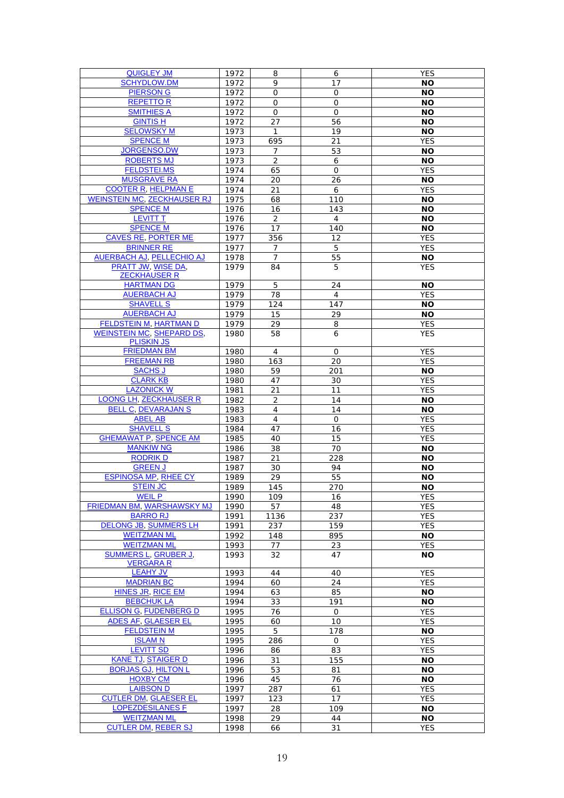| <b>QUIGLEY JM</b>                         | 1972 | 8              | 6                 | <b>YES</b> |
|-------------------------------------------|------|----------------|-------------------|------------|
| <b>SCHYDLOW.DM</b>                        | 1972 | 9              | 17                | <b>NO</b>  |
| <b>PIERSON G</b>                          | 1972 | 0              | 0                 | <b>NO</b>  |
| <b>REPETTOR</b>                           | 1972 | 0              | 0                 | <b>NO</b>  |
| <b>SMITHIES A</b>                         | 1972 | 0              | 0                 | <b>NO</b>  |
| <b>GINTIS H</b>                           | 1972 | 27             | 56                | <b>NO</b>  |
| <b>SELOWSKY M</b>                         | 1973 | 1              | 19                | <b>NO</b>  |
| <b>SPENCE M</b>                           | 1973 | 695            | 21                | <b>YES</b> |
| <b>JORGENSO.DW</b>                        | 1973 | $\overline{7}$ | 53                | <b>NO</b>  |
| <b>ROBERTS MJ</b>                         | 1973 | $\overline{2}$ | 6                 | ΝO         |
| <b>FELDSTEI.MS</b>                        | 1974 | 65             | O                 | <b>YES</b> |
| <b>MUSGRAVE RA</b>                        | 1974 | 20             | 26                | <b>NO</b>  |
| <b>COOTER R, HELPMAN E</b>                | 1974 | 21             | 6                 | <b>YES</b> |
| <b>WEINSTEIN MC, ZECKHAUSER RJ</b>        | 1975 | 68             | 110               | <b>NO</b>  |
| <b>SPENCE M</b>                           | 1976 | 16             | 143               | <b>NO</b>  |
| <b>LEVITT T</b>                           | 1976 | $\overline{2}$ | $\overline{4}$    | <b>NO</b>  |
| <b>SPENCE M</b>                           | 1976 | 17             | 140               | <b>NO</b>  |
| <b>CAVES RE. PORTER ME</b>                |      |                | $12 \overline{ }$ |            |
|                                           | 1977 | 356            |                   | <b>YES</b> |
| <b>BRINNER RE</b>                         | 1977 | $\overline{7}$ | 5                 | YES        |
| AUERBACH AJ, PELLECHIO AJ                 | 1978 | $\overline{7}$ | 55                | <b>NO</b>  |
| PRATT JW, WISE DA,<br><b>ZECKHAUSER R</b> | 1979 | 84             | 5                 | <b>YES</b> |
| <b>HARTMAN DG</b>                         |      |                |                   |            |
| <b>AUERBACH AJ</b>                        | 1979 | 5              | 24                | <b>NO</b>  |
|                                           | 1979 | 78             | 4                 | <b>YES</b> |
| <b>SHAVELL S</b>                          | 1979 | 124            | 147               | <b>NO</b>  |
| <b>AUERBACH AJ</b>                        | 1979 | 15             | 29                | <b>NO</b>  |
| <b>FELDSTEIN M, HARTMAN D</b>             | 1979 | 29             | 8                 | YES        |
| <b>WEINSTEIN MC, SHEPARD DS,</b>          | 1980 | 58             | 6                 | <b>YES</b> |
| <b>PLISKIN JS</b>                         |      |                |                   |            |
| <b>FRIEDMAN BM</b>                        | 1980 | 4              | 0                 | <b>YES</b> |
| <b>FREEMAN RB</b>                         | 1980 | 163            | 20                | <b>YES</b> |
| <b>SACHS J</b>                            | 1980 | 59             | 201               | <b>NO</b>  |
| <b>CLARK KB</b>                           | 1980 | 47             | 30                | <b>YES</b> |
| <b>LAZONICK W</b>                         | 1981 | 21             | 11                | YES        |
| LOONG LH, ZECKHAUSER R                    | 1982 | $\overline{2}$ | 14                | <b>NO</b>  |
| <b>BELL C, DEVARAJAN S</b>                | 1983 | $\overline{4}$ | 14                | <b>NO</b>  |
| <b>ABEL AB</b>                            | 1983 | 4              | 0                 | <b>YES</b> |
| <b>SHAVELL S</b>                          | 1984 | 47             | 16                | YES        |
| <b>GHEMAWAT P. SPENCE AM</b>              | 1985 | 40             | 15                | <b>YES</b> |
| <b>MANKIW NG</b>                          | 1986 | 38             | 70                | <b>NO</b>  |
| <b>RODRIK D</b>                           | 1987 | 21             | 228               | <b>NO</b>  |
| <b>GREEN J</b>                            | 1987 | 30             | 94                | <b>NO</b>  |
| <b>ESPINOSA MP, RHEE CY</b>               | 1989 | 29             | 55                | ΝO         |
| <b>STEIN JC</b>                           | 1989 | 145            | 270               | <b>NO</b>  |
| <u>WEIL P</u>                             | 1990 | 109            | 16                | YES        |
| FRIEDMAN BM, WARSHAWSKY MJ                | 1990 | 57             | 48                | <b>YES</b> |
| <b>BARRO RJ</b>                           | 1991 | 1136           | 237               | <b>YES</b> |
| DELONG JB, SUMMERS LH                     | 1991 | 237            | 159               | <b>YES</b> |
| <b>WEITZMAN ML</b>                        | 1992 | 148            | 895               | <b>NO</b>  |
| <b>WEITZMAN ML</b>                        | 1993 | 77             | 23                | YES        |
| <b>SUMMERS L, GRUBER J,</b>               | 1993 | 32             | 47                | <b>NO</b>  |
| <b>VERGARA R</b>                          |      |                |                   |            |
| <b>LEAHY JV</b>                           | 1993 | 44             | 40                | <b>YES</b> |
| <b>MADRIAN BC</b>                         | 1994 | 60             | 24                | YES        |
| <b>HINES JR, RICE EM</b>                  | 1994 | 63             | 85                | <b>NO</b>  |
| <b>BEBCHUK LA</b>                         | 1994 | 33             | 191               | <b>NO</b>  |
| <b>ELLISON G, FUDENBERG D</b>             | 1995 | 76             | O                 | <b>YES</b> |
| <b>ADES AF, GLAESER EL</b>                | 1995 | 60             | 10                | <b>YES</b> |
| <b>FELDSTEIN M</b>                        | 1995 | 5              | 178               | <b>NO</b>  |
| <b>ISLAMN</b>                             | 1995 | 286            | O                 | <b>YES</b> |
| <b>LEVITT SD</b>                          | 1996 | 86             | 83                | <b>YES</b> |
| <b>KANE TJ, STAIGER D</b>                 | 1996 | 31             | 155               | <b>NO</b>  |
| <b>BORJAS GJ, HILTON L</b>                | 1996 | 53             | 81                | <b>NO</b>  |
| <b>HOXBY CM</b>                           | 1996 | 45             | 76                | <b>NO</b>  |
| <b>LAIBSON D</b>                          | 1997 | 287            | 61                | <b>YES</b> |
| <b>CUTLER DM, GLAESER EL</b>              | 1997 | 123            | 17                | <b>YES</b> |
| <b>LOPEZDESILANES F</b>                   | 1997 | 28             | 109               | <b>NO</b>  |
| <b>WEITZMAN ML</b>                        | 1998 | 29             | 44                | <b>NO</b>  |
|                                           |      |                |                   |            |
| <b>CUTLER DM, REBER SJ</b>                | 1998 | 66             | 31                | <b>YES</b> |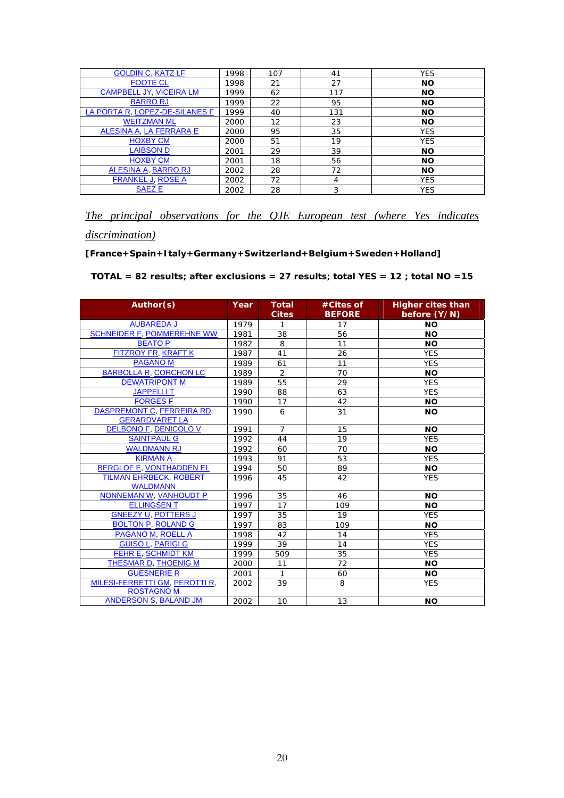| <b>GOLDIN C, KATZ LF</b>       | 1998 | 107 | 41  | <b>YES</b> |
|--------------------------------|------|-----|-----|------------|
| <b>FOOTE CL</b>                | 1998 | 21  | 27  | <b>NO</b>  |
| <b>CAMPBELL JY, VICEIRA LM</b> | 1999 | 62  | 117 | <b>NO</b>  |
| <b>BARRORJ</b>                 | 1999 | 22  | 95  | <b>NO</b>  |
| LA PORTA R, LOPEZ-DE-SILANES F | 1999 | 40  | 131 | <b>NO</b>  |
| <b>WEITZMAN ML</b>             | 2000 | 12  | 23  | <b>NO</b>  |
| ALESINA A, LA FERRARA E        | 2000 | 95  | 35  | <b>YES</b> |
| <b>HOXBY CM</b>                | 2000 | 51  | 19  | <b>YES</b> |
| <b>LAIBSON D</b>               | 2001 | 29  | 39  | <b>NO</b>  |
| <b>HOXBY CM</b>                | 2001 | 18  | 56  | <b>NO</b>  |
| ALESINA A, BARRO RJ            | 2002 | 28  | 72  | <b>NO</b>  |
| <b>FRANKEL J, ROSE A</b>       | 2002 | 72  | 4   | <b>YES</b> |
| <b>SAEZE</b>                   | 2002 | 28  | 3   | <b>YES</b> |

*The principal observations for the QJE European test (where Yes indicates discrimination)*

#### **[France+Spain+Italy+Germany+Switzerland+Belgium+Sweden+Holland]**

*TOTAL = 82 results; after exclusions = 27 results; total YES = 12 ; total NO =15* 

| Author(s)                                                  | Year | <b>Total</b><br><b>Cites</b> | #Cites of<br><b>BEFORE</b> | <b>Higher cites than</b><br>before (Y/N) |
|------------------------------------------------------------|------|------------------------------|----------------------------|------------------------------------------|
| <b>AUBAREDA J</b>                                          | 1979 | 1                            | 17                         | <b>NO</b>                                |
| <b>SCHNEIDER F. POMMEREHNE WW</b>                          | 1981 | 38                           | 56                         | <b>NO</b>                                |
| <b>BEATOP</b>                                              | 1982 | 8                            | 11                         | <b>NO</b>                                |
| <b>FITZROY FR, KRAFT K</b>                                 | 1987 | 41                           | 26                         | <b>YES</b>                               |
| <b>PAGANOM</b>                                             | 1989 | 61                           | 11                         | <b>YES</b>                               |
| <b>BARBOLLA R. CORCHON LC</b>                              | 1989 | $\overline{2}$               | 70                         | <b>NO</b>                                |
| <b>DEWATRIPONT M</b>                                       | 1989 | 55                           | 29                         | <b>YES</b>                               |
| <b>JAPPELLIT</b>                                           | 1990 | 88                           | 63                         | <b>YES</b>                               |
| <b>FORGES F</b>                                            | 1990 | 17                           | 42                         | <b>NO</b>                                |
| <b>DASPREMONT C. FERREIRA RD.</b><br><b>GERARDVARET LA</b> | 1990 | 6                            | 31                         | <b>NO</b>                                |
| <b>DELBONO F, DENICOLO V</b>                               | 1991 | $\overline{7}$               | 15                         | <b>NO</b>                                |
| <b>SAINTPAUL G</b>                                         | 1992 | 44                           | 19                         | <b>YES</b>                               |
| <b>WALDMANN RJ</b>                                         | 1992 | 60                           | 70                         | <b>NO</b>                                |
| <b>KIRMAN A</b>                                            | 1993 | 91                           | 53                         | <b>YES</b>                               |
| <b>BERGLOF E, VONTHADDEN EL</b>                            | 1994 | 50                           | 89                         | <b>NO</b>                                |
| <b>TILMAN EHRBECK, ROBERT</b><br><b>WALDMANN</b>           | 1996 | 45                           | 42                         | <b>YES</b>                               |
| NONNEMAN W, VANHOUDT P                                     | 1996 | 35                           | 46                         | <b>NO</b>                                |
| <b>ELLINGSENT</b>                                          | 1997 | 17                           | 109                        | <b>NO</b>                                |
| <b>GNEEZY U. POTTERS J</b>                                 | 1997 | 35                           | 19                         | <b>YES</b>                               |
| <b>BOLTON P. ROLAND G</b>                                  | 1997 | 83                           | 109                        | <b>NO</b>                                |
| <b>PAGANO M, ROELL A</b>                                   | 1998 | 42                           | 14                         | <b>YES</b>                               |
| <b>GUISO L, PARIGI G</b>                                   | 1999 | 39                           | 14                         | <b>YES</b>                               |
| FEHR E. SCHMIDT KM                                         | 1999 | 509                          | 35                         | <b>YES</b>                               |
| THESMAR D. THOENIG M                                       | 2000 | 11                           | 72                         | <b>NO</b>                                |
| <b>GUESNERIE R</b>                                         | 2001 | $\mathbf{1}$                 | 60                         | <b>NO</b>                                |
| MILESI-FERRETTI GM, PEROTTI R.<br><b>ROSTAGNO M</b>        | 2002 | 39                           | 8                          | <b>YES</b>                               |
| ANDERSON S. BALAND JM                                      | 2002 | 10 <sup>°</sup>              | 13                         | <b>NO</b>                                |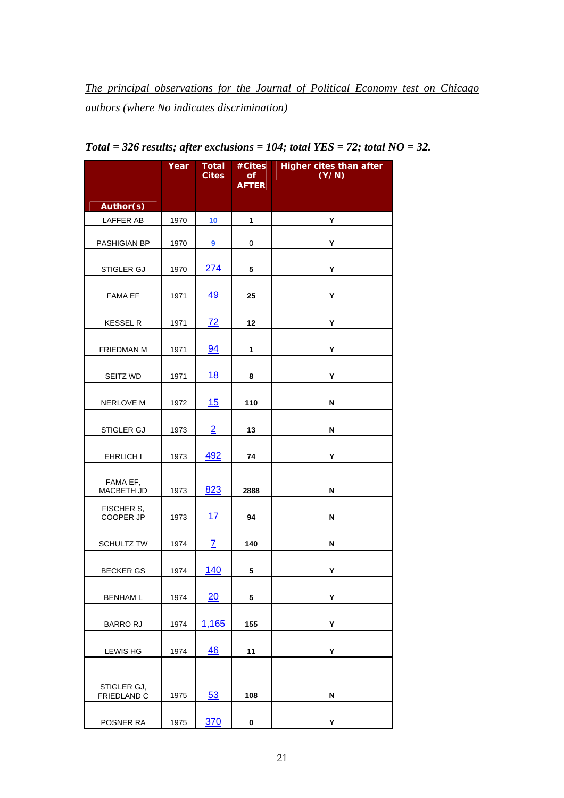*The principal observations for the Journal of Political Economy test on Chicago authors (where No indicates discrimination)* 

|                            | Year | <b>Total</b><br><b>Cites</b> | #Cites<br>οf<br><b>AFTER</b> | <b>Higher cites than after</b><br>(Y/N) |
|----------------------------|------|------------------------------|------------------------------|-----------------------------------------|
| Author(s)                  |      |                              |                              |                                         |
| LAFFER AB                  | 1970 | 10                           | $\mathbf{1}$                 | Υ                                       |
| PASHIGIAN BP               | 1970 | 9                            | 0                            | Υ                                       |
| STIGLER GJ                 | 1970 | 274                          | 5                            | Υ                                       |
| <b>FAMA EF</b>             | 1971 | 49                           | 25                           | Υ                                       |
| <b>KESSEL R</b>            | 1971 | 72                           | 12                           | Υ                                       |
| FRIEDMAN M                 | 1971 | 94                           | 1                            | Υ                                       |
| SEITZ WD                   | 1971 | 18                           | 8                            | Υ                                       |
| <b>NERLOVE M</b>           | 1972 | 15                           | 110                          | N                                       |
| STIGLER GJ                 | 1973 | $\overline{2}$               | 13                           | N                                       |
| EHRLICH I                  | 1973 | 492                          | 74                           | Υ                                       |
| FAMA EF,<br>MACBETH JD     | 1973 | 823                          | 2888                         | N                                       |
| FISCHER S,<br>COOPER JP    | 1973 | 17                           | 94                           | N                                       |
| <b>SCHULTZ TW</b>          | 1974 | $\mathbf{Z}$                 | 140                          | N                                       |
| <b>BECKER GS</b>           | 1974 | 140                          | 5                            | Υ                                       |
| <b>BENHAM L</b>            | 1974 | 20                           | ${\bf 5}$                    | Υ                                       |
| <b>BARRORJ</b>             | 1974 | 1,165                        | 155                          | Υ                                       |
| <b>LEWIS HG</b>            | 1974 | 46                           | 11                           | Υ                                       |
| STIGLER GJ,<br>FRIEDLAND C | 1975 | 53                           | 108                          | N                                       |
| POSNER RA                  | 1975 | 370                          | $\pmb{0}$                    | Υ                                       |

*Total = 326 results; after exclusions = 104; total YES = 72; total NO = 32.*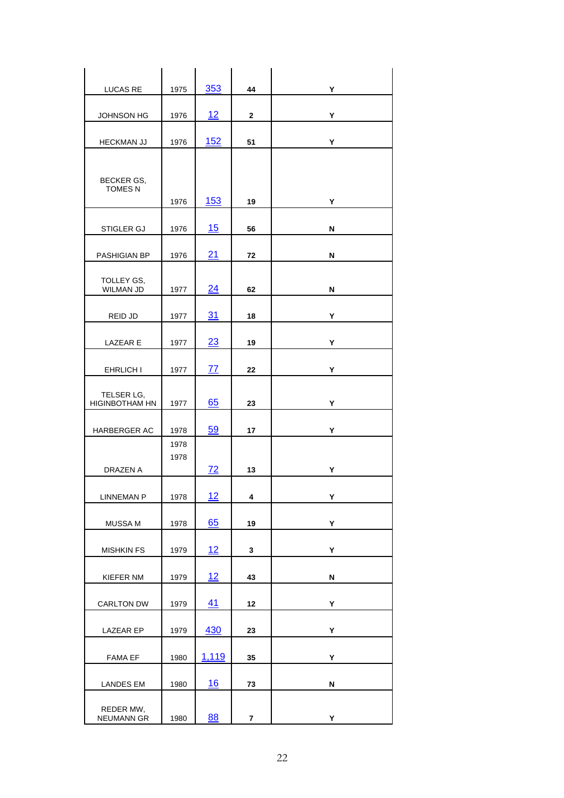| LUCAS RE                       | 1975 | 353             | 44           | Υ |
|--------------------------------|------|-----------------|--------------|---|
|                                |      |                 |              |   |
| <b>JOHNSON HG</b>              | 1976 | 12              | $\mathbf{2}$ | Υ |
| <b>HECKMAN JJ</b>              | 1976 | <u>152</u>      | 51           | Υ |
|                                |      |                 |              |   |
| BECKER GS,                     |      |                 |              |   |
| <b>TOMES N</b>                 | 1976 | <b>153</b>      | 19           | Y |
|                                |      |                 |              |   |
| STIGLER GJ                     | 1976 | 15              | 56           | N |
|                                |      | 21              | 72           | N |
| PASHIGIAN BP                   | 1976 |                 |              |   |
| TOLLEY GS,<br><b>WILMAN JD</b> | 1977 | 24              | 62           | N |
|                                |      |                 |              |   |
| REID JD                        | 1977 | 31              | 18           | Υ |
| LAZEAR E                       | 1977 | 23              | 19           | Υ |
|                                |      |                 |              |   |
| EHRLICH I                      | 1977 | <u>77</u>       | 22           | Υ |
| TELSER LG,                     |      |                 |              |   |
| <b>HIGINBOTHAM HN</b>          | 1977 | 65              | 23           | Y |
| HARBERGER AC                   | 1978 | 59              | 17           | Υ |
|                                | 1978 |                 |              |   |
|                                | 1978 |                 |              |   |
| DRAZEN A                       |      | $\overline{72}$ | 13           | Υ |
| <b>LINNEMAN P</b>              | 1978 | 12              | 4            | Y |
|                                |      |                 |              |   |
| MUSSA M                        | 1978 | 65              | 19           | Υ |
| <b>MISHKIN FS</b>              | 1979 | 12              | 3            | Υ |
|                                |      |                 |              |   |
| KIEFER NM                      | 1979 | <u> 12</u>      | 43           | N |
| <b>CARLTON DW</b>              | 1979 | 41              | 12           | Υ |
|                                |      |                 |              |   |
| LAZEAR EP                      | 1979 | 430             | 23           | Υ |
| <b>FAMA EF</b>                 | 1980 | 1,119           | 35           | Υ |
|                                |      |                 |              |   |
| <b>LANDES EM</b>               | 1980 | 16              | 73           | N |
| REDER MW,                      |      |                 |              |   |
| NEUMANN GR                     | 1980 | 88              | 7            | Y |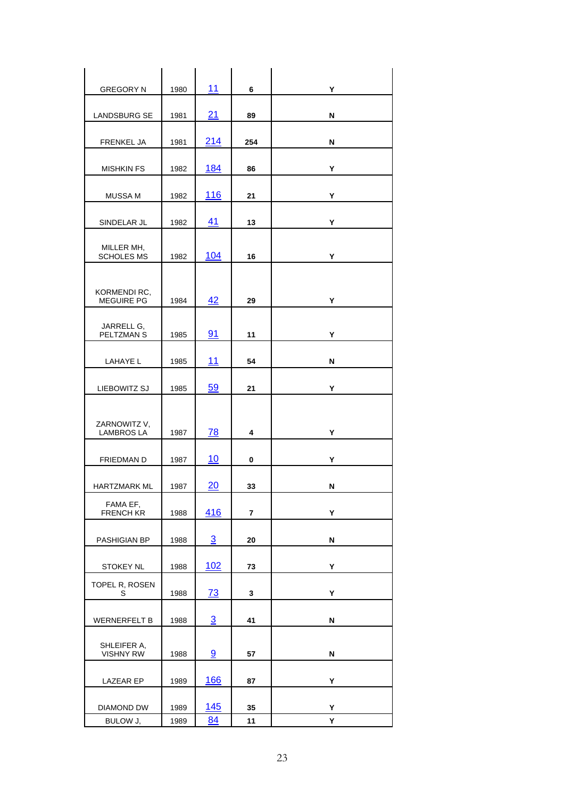| <b>GREGORY N</b>                  | 1980 | 11             | 6                       | Y |
|-----------------------------------|------|----------------|-------------------------|---|
|                                   |      |                |                         |   |
| <b>LANDSBURG SE</b>               | 1981 | 21             | 89                      | N |
| FRENKEL JA                        | 1981 | 214            | 254                     | N |
|                                   |      |                |                         |   |
| <b>MISHKIN FS</b>                 | 1982 | 184            | 86                      | Υ |
|                                   |      |                |                         |   |
| <b>MUSSA M</b>                    | 1982 | <u> 116</u>    | 21                      | Υ |
|                                   |      |                |                         |   |
| SINDELAR JL                       | 1982 | 41             | 13                      | Υ |
|                                   |      |                |                         |   |
| MILLER MH,<br><b>SCHOLES MS</b>   | 1982 | 104            | 16                      | Υ |
|                                   |      |                |                         |   |
|                                   |      |                |                         |   |
| KORMENDI RC,<br><b>MEGUIRE PG</b> | 1984 | 42             | 29                      | Υ |
|                                   |      |                |                         |   |
| JARRELL G,<br>PELTZMAN S          | 1985 | 91             | 11                      | Υ |
|                                   |      |                |                         |   |
| LAHAYE L                          | 1985 | 11             | 54                      | N |
|                                   |      |                |                         |   |
| LIEBOWITZ SJ                      | 1985 | 59             | 21                      | Υ |
|                                   |      |                |                         |   |
|                                   |      |                |                         |   |
| ZARNOWITZ V,<br><b>LAMBROS LA</b> | 1987 | 78             | 4                       | Y |
|                                   |      |                |                         |   |
| FRIEDMAN D                        | 1987 | 10             | 0                       | Υ |
|                                   |      |                |                         |   |
| HARTZMARK ML                      | 1987 | 20             | 33                      | N |
| FAMA EF,                          |      | <u>416</u>     |                         |   |
| <b>FRENCH KR</b>                  | 1988 |                | $\overline{\mathbf{r}}$ | Υ |
| PASHIGIAN BP                      | 1988 | $\overline{3}$ | 20                      | N |
|                                   |      |                |                         |   |
| <b>STOKEY NL</b>                  | 1988 | 102            | 73                      | Υ |
| TOPEL R, ROSEN                    |      |                |                         |   |
| S                                 | 1988 | <u>73</u>      | 3                       | Υ |
|                                   |      |                |                         |   |
| <b>WERNERFELT B</b>               | 1988 | $\overline{3}$ | 41                      | N |
|                                   |      |                |                         |   |
| SHLEIFER A,<br><b>VISHNY RW</b>   | 1988 | 9              | 57                      | N |
|                                   |      |                |                         |   |
| LAZEAR EP                         | 1989 | <u>166</u>     | 87                      | Υ |
|                                   |      |                |                         |   |
| DIAMOND DW                        | 1989 | <u>145</u>     | 35                      | Υ |
| BULOW J,                          | 1989 | 84             | 11                      | Υ |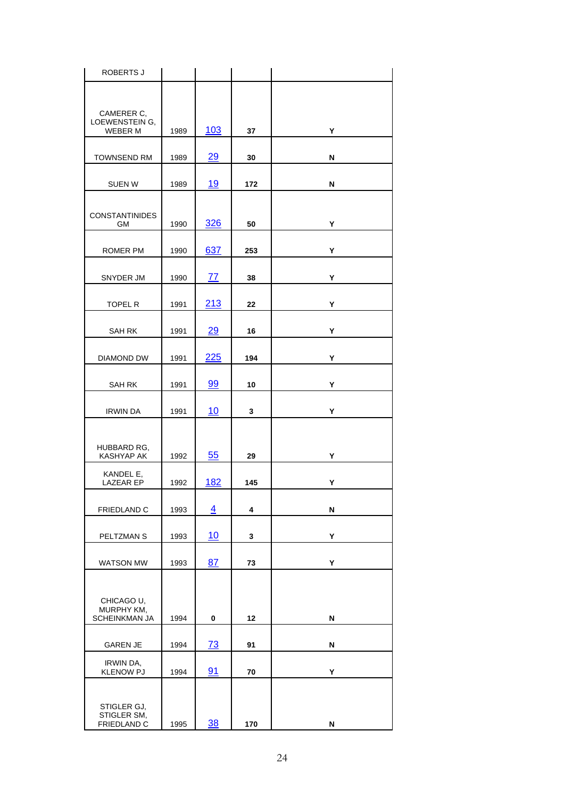| ROBERTS J                                      |      |            |     |   |
|------------------------------------------------|------|------------|-----|---|
| CAMERER C,<br>LOEWENSTEIN G,<br><b>WEBER M</b> | 1989 | <u>103</u> | 37  | Υ |
| <b>TOWNSEND RM</b>                             | 1989 | 29         | 30  | N |
| <b>SUEN W</b>                                  | 1989 | <u>19</u>  | 172 | N |
| <b>CONSTANTINIDES</b><br>GМ                    | 1990 | 326        | 50  | Y |
| ROMER PM                                       | 1990 | 637        | 253 | Υ |
| SNYDER JM                                      | 1990 | <u>77</u>  | 38  | Υ |
| <b>TOPEL R</b>                                 | 1991 | 213        | 22  | Υ |
| SAH RK                                         | 1991 | 29         | 16  | Υ |
| DIAMOND DW                                     | 1991 | <u>225</u> | 194 | Υ |
| <b>SAH RK</b>                                  | 1991 | 99         | 10  | Y |
| <b>IRWIN DA</b>                                | 1991 | 10         | 3   | Υ |
| HUBBARD RG,<br>KASHYAP AK                      | 1992 | 55         | 29  | Υ |
| KANDEL E,<br><b>LAZEAR EP</b>                  | 1992 | <u>182</u> | 145 | Υ |
| FRIEDLAND C                                    | 1993 | 4          | 4   | N |
| PELTZMAN S                                     | 1993 | 10         | 3   | Υ |
| WATSON MW                                      | 1993 | 87         | 73  | Υ |
| CHICAGO U,<br>MURPHY KM,<br>SCHEINKMAN JA      | 1994 | 0          | 12  | N |
| <b>GAREN JE</b>                                | 1994 | 73         | 91  | N |
| IRWIN DA,<br><b>KLENOW PJ</b>                  | 1994 | 91         | 70  | Υ |
| STIGLER GJ,<br>STIGLER SM,<br>FRIEDLAND C      | 1995 | 38         | 170 | N |